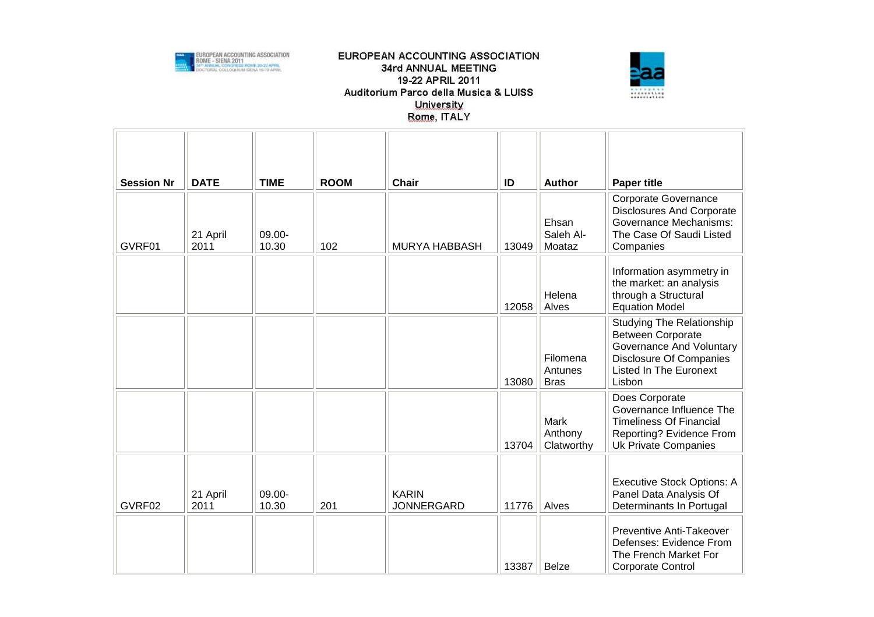



| <b>Session Nr</b> | <b>DATE</b>      | <b>TIME</b>     | <b>ROOM</b> | Chair                             | ID    | <b>Author</b>                      | <b>Paper title</b>                                                                                                                                             |
|-------------------|------------------|-----------------|-------------|-----------------------------------|-------|------------------------------------|----------------------------------------------------------------------------------------------------------------------------------------------------------------|
| GVRF01            | 21 April<br>2011 | 09.00-<br>10.30 | 102         | <b>MURYA HABBASH</b>              | 13049 | Ehsan<br>Saleh Al-<br>Moataz       | <b>Corporate Governance</b><br><b>Disclosures And Corporate</b><br>Governance Mechanisms:<br>The Case Of Saudi Listed<br>Companies                             |
|                   |                  |                 |             |                                   | 12058 | Helena<br>Alves                    | Information asymmetry in<br>the market: an analysis<br>through a Structural<br><b>Equation Model</b>                                                           |
|                   |                  |                 |             |                                   | 13080 | Filomena<br>Antunes<br><b>Bras</b> | <b>Studying The Relationship</b><br><b>Between Corporate</b><br>Governance And Voluntary<br>Disclosure Of Companies<br><b>Listed In The Euronext</b><br>Lisbon |
|                   |                  |                 |             |                                   | 13704 | Mark<br>Anthony<br>Clatworthy      | Does Corporate<br>Governance Influence The<br><b>Timeliness Of Financial</b><br>Reporting? Evidence From<br><b>Uk Private Companies</b>                        |
| GVRF02            | 21 April<br>2011 | 09.00-<br>10.30 | 201         | <b>KARIN</b><br><b>JONNERGARD</b> | 11776 | Alves                              | <b>Executive Stock Options: A</b><br>Panel Data Analysis Of<br>Determinants In Portugal                                                                        |
|                   |                  |                 |             |                                   | 13387 | <b>Belze</b>                       | Preventive Anti-Takeover<br>Defenses: Evidence From<br>The French Market For<br>Corporate Control                                                              |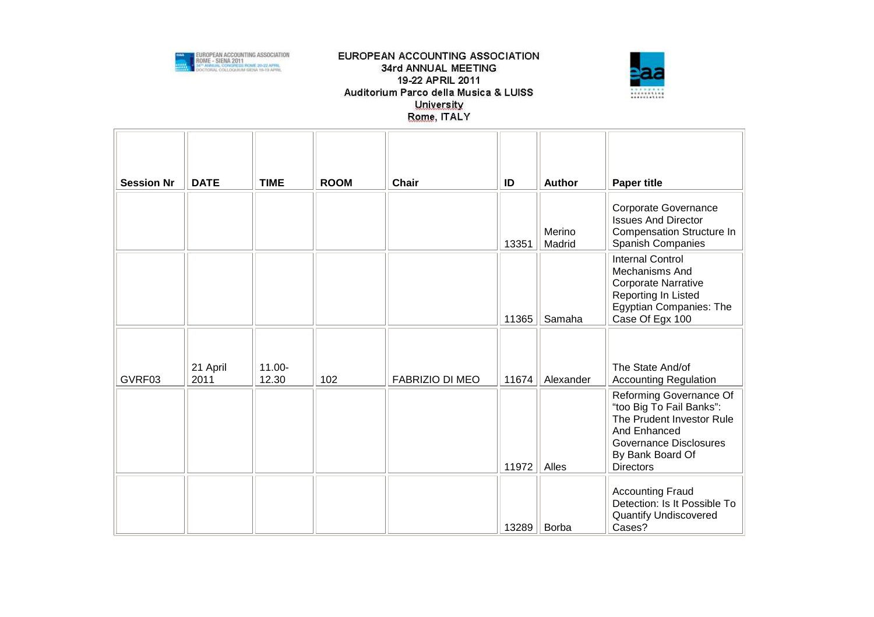



| <b>Session Nr</b> | <b>DATE</b>      | <b>TIME</b>     | <b>ROOM</b> | <b>Chair</b>           | ID    | <b>Author</b>    | <b>Paper title</b>                                                                                                                                                        |
|-------------------|------------------|-----------------|-------------|------------------------|-------|------------------|---------------------------------------------------------------------------------------------------------------------------------------------------------------------------|
|                   |                  |                 |             |                        | 13351 | Merino<br>Madrid | Corporate Governance<br><b>Issues And Director</b><br><b>Compensation Structure In</b><br><b>Spanish Companies</b>                                                        |
|                   |                  |                 |             |                        | 11365 | Samaha           | <b>Internal Control</b><br>Mechanisms And<br><b>Corporate Narrative</b><br>Reporting In Listed<br>Egyptian Companies: The<br>Case Of Egx 100                              |
|                   |                  |                 |             |                        |       |                  |                                                                                                                                                                           |
| GVRF03            | 21 April<br>2011 | 11.00-<br>12.30 | 102         | <b>FABRIZIO DI MEO</b> | 11674 | Alexander        | The State And/of<br><b>Accounting Regulation</b>                                                                                                                          |
|                   |                  |                 |             |                        | 11972 | Alles            | Reforming Governance Of<br>"too Big To Fail Banks":<br>The Prudent Investor Rule<br>And Enhanced<br><b>Governance Disclosures</b><br>By Bank Board Of<br><b>Directors</b> |
|                   |                  |                 |             |                        | 13289 | Borba            | <b>Accounting Fraud</b><br>Detection: Is It Possible To<br><b>Quantify Undiscovered</b><br>Cases?                                                                         |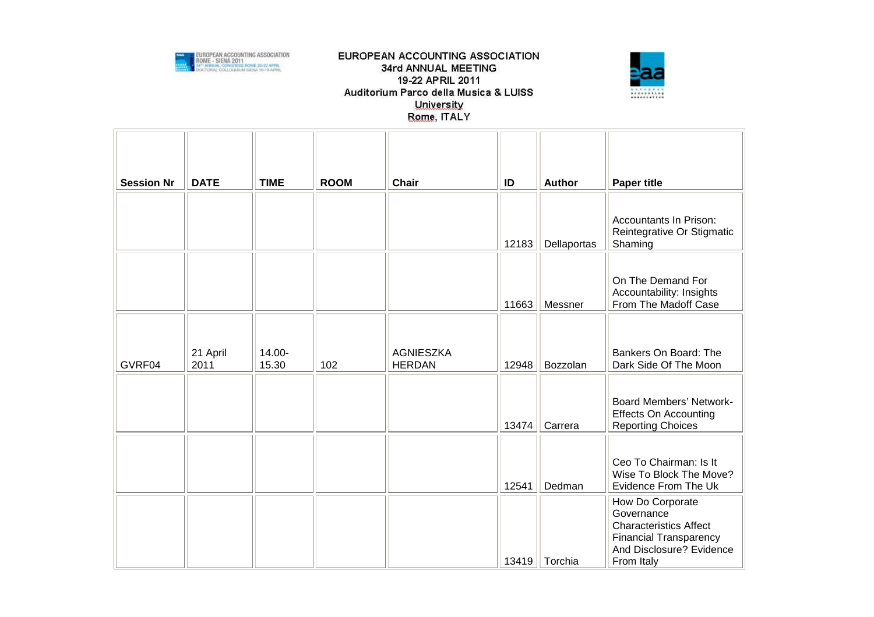



| <b>Session Nr</b> | <b>DATE</b>      | <b>TIME</b>     | <b>ROOM</b> | Chair                             | ID    | <b>Author</b> | <b>Paper title</b>                                                                                                                         |
|-------------------|------------------|-----------------|-------------|-----------------------------------|-------|---------------|--------------------------------------------------------------------------------------------------------------------------------------------|
|                   |                  |                 |             |                                   | 12183 | Dellaportas   | <b>Accountants In Prison:</b><br>Reintegrative Or Stigmatic<br>Shaming                                                                     |
|                   |                  |                 |             |                                   | 11663 | Messner       | On The Demand For<br>Accountability: Insights<br>From The Madoff Case                                                                      |
| GVRF04            | 21 April<br>2011 | 14.00-<br>15.30 | 102         | <b>AGNIESZKA</b><br><b>HERDAN</b> | 12948 | Bozzolan      | Bankers On Board: The<br>Dark Side Of The Moon                                                                                             |
|                   |                  |                 |             |                                   | 13474 | Carrera       | <b>Board Members' Network-</b><br><b>Effects On Accounting</b><br><b>Reporting Choices</b>                                                 |
|                   |                  |                 |             |                                   | 12541 | Dedman        | Ceo To Chairman: Is It<br>Wise To Block The Move?<br>Evidence From The Uk                                                                  |
|                   |                  |                 |             |                                   | 13419 | Torchia       | How Do Corporate<br>Governance<br><b>Characteristics Affect</b><br><b>Financial Transparency</b><br>And Disclosure? Evidence<br>From Italy |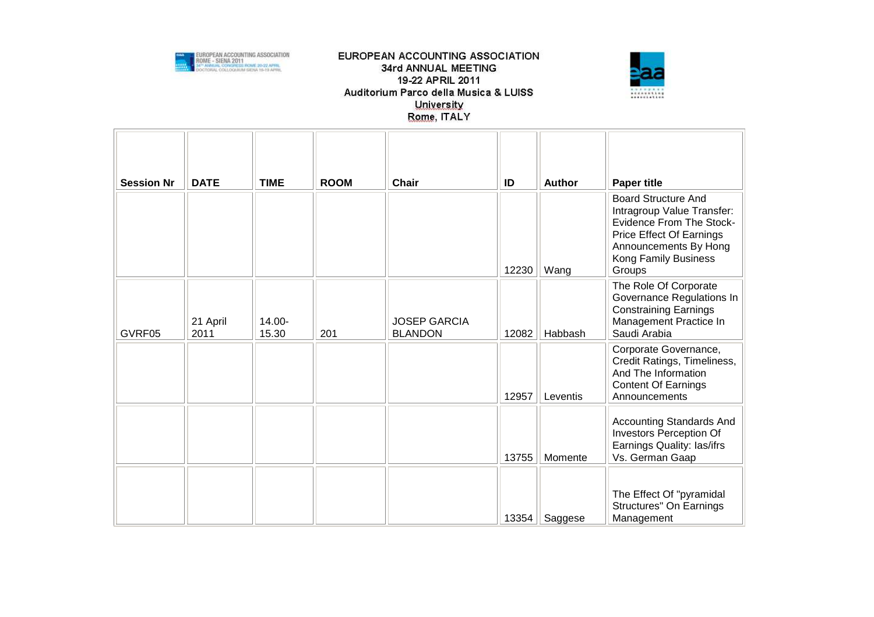



| <b>Session Nr</b> | <b>DATE</b>      | <b>TIME</b>     | <b>ROOM</b> | <b>Chair</b>                          | ID<br>12230 | <b>Author</b><br>Wang | <b>Paper title</b><br><b>Board Structure And</b><br>Intragroup Value Transfer:<br><b>Evidence From The Stock-</b><br>Price Effect Of Earnings<br>Announcements By Hong<br>Kong Family Business<br>Groups |
|-------------------|------------------|-----------------|-------------|---------------------------------------|-------------|-----------------------|----------------------------------------------------------------------------------------------------------------------------------------------------------------------------------------------------------|
| GVRF05            | 21 April<br>2011 | 14.00-<br>15.30 | 201         | <b>JOSEP GARCIA</b><br><b>BLANDON</b> | 12082       | Habbash               | The Role Of Corporate<br>Governance Regulations In<br><b>Constraining Earnings</b><br>Management Practice In<br>Saudi Arabia                                                                             |
|                   |                  |                 |             |                                       | 12957       | Leventis              | Corporate Governance,<br>Credit Ratings, Timeliness,<br>And The Information<br><b>Content Of Earnings</b><br>Announcements                                                                               |
|                   |                  |                 |             |                                       | 13755       | Momente               | Accounting Standards And<br><b>Investors Perception Of</b><br>Earnings Quality: las/ifrs<br>Vs. German Gaap                                                                                              |
|                   |                  |                 |             |                                       | 13354       | Saggese               | The Effect Of "pyramidal<br>Structures" On Earnings<br>Management                                                                                                                                        |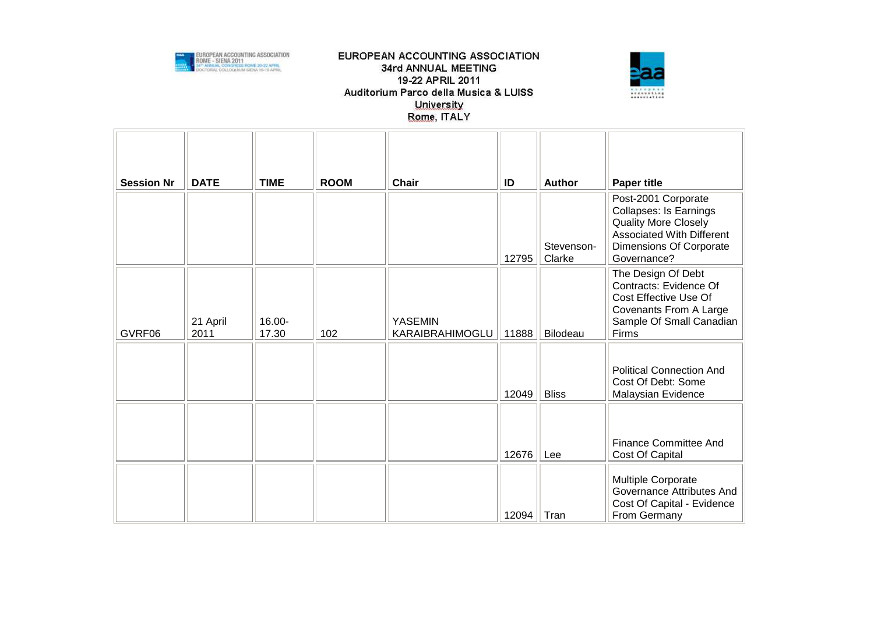



| <b>Session Nr</b> | <b>DATE</b>      | <b>TIME</b>     | <b>ROOM</b> | <b>Chair</b>                      | ID    | <b>Author</b>        | <b>Paper title</b>                                                                                                                                         |
|-------------------|------------------|-----------------|-------------|-----------------------------------|-------|----------------------|------------------------------------------------------------------------------------------------------------------------------------------------------------|
|                   |                  |                 |             |                                   | 12795 | Stevenson-<br>Clarke | Post-2001 Corporate<br>Collapses: Is Earnings<br><b>Quality More Closely</b><br><b>Associated With Different</b><br>Dimensions Of Corporate<br>Governance? |
| GVRF06            | 21 April<br>2011 | 16.00-<br>17.30 | 102         | <b>YASEMIN</b><br>KARAIBRAHIMOGLU | 11888 | Bilodeau             | The Design Of Debt<br>Contracts: Evidence Of<br>Cost Effective Use Of<br>Covenants From A Large<br>Sample Of Small Canadian<br>Firms                       |
|                   |                  |                 |             |                                   | 12049 | <b>Bliss</b>         | <b>Political Connection And</b><br>Cost Of Debt: Some<br>Malaysian Evidence                                                                                |
|                   |                  |                 |             |                                   | 12676 | Lee                  | <b>Finance Committee And</b><br>Cost Of Capital                                                                                                            |
|                   |                  |                 |             |                                   | 12094 | Tran                 | Multiple Corporate<br>Governance Attributes And<br>Cost Of Capital - Evidence<br>From Germany                                                              |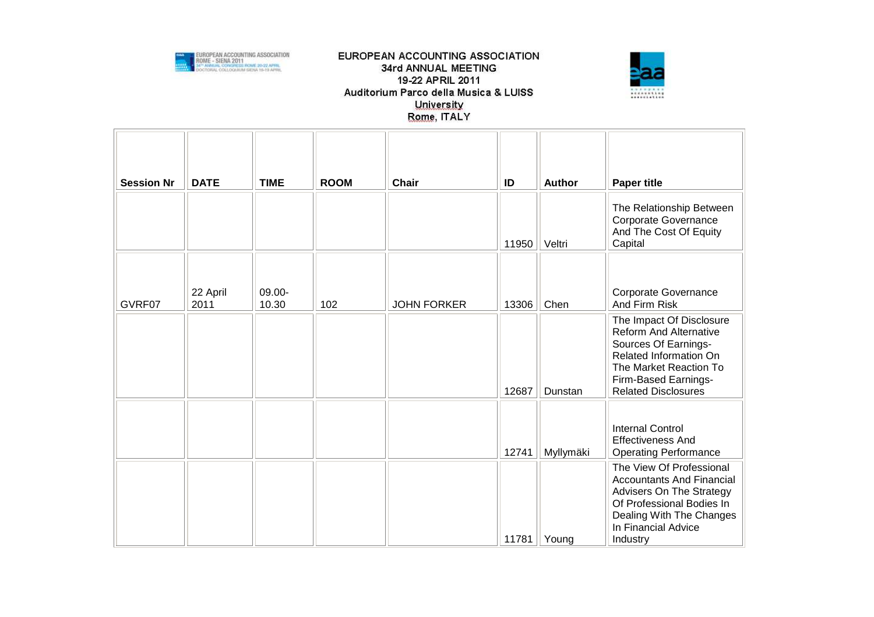



| <b>Session Nr</b> | <b>DATE</b>      | <b>TIME</b>     | <b>ROOM</b> | <b>Chair</b>       | ID    | <b>Author</b> | <b>Paper title</b>                                                                                                                                                                          |
|-------------------|------------------|-----------------|-------------|--------------------|-------|---------------|---------------------------------------------------------------------------------------------------------------------------------------------------------------------------------------------|
|                   |                  |                 |             |                    | 11950 | Veltri        | The Relationship Between<br>Corporate Governance<br>And The Cost Of Equity<br>Capital                                                                                                       |
| GVRF07            | 22 April<br>2011 | 09.00-<br>10.30 | 102         | <b>JOHN FORKER</b> | 13306 | Chen          | Corporate Governance<br>And Firm Risk                                                                                                                                                       |
|                   |                  |                 |             |                    | 12687 | Dunstan       | The Impact Of Disclosure<br><b>Reform And Alternative</b><br>Sources Of Earnings-<br>Related Information On<br>The Market Reaction To<br>Firm-Based Earnings-<br><b>Related Disclosures</b> |
|                   |                  |                 |             |                    | 12741 | Myllymäki     | <b>Internal Control</b><br><b>Effectiveness And</b><br><b>Operating Performance</b>                                                                                                         |
|                   |                  |                 |             |                    | 11781 | Youna         | The View Of Professional<br><b>Accountants And Financial</b><br>Advisers On The Strategy<br>Of Professional Bodies In<br>Dealing With The Changes<br>In Financial Advice<br>Industry        |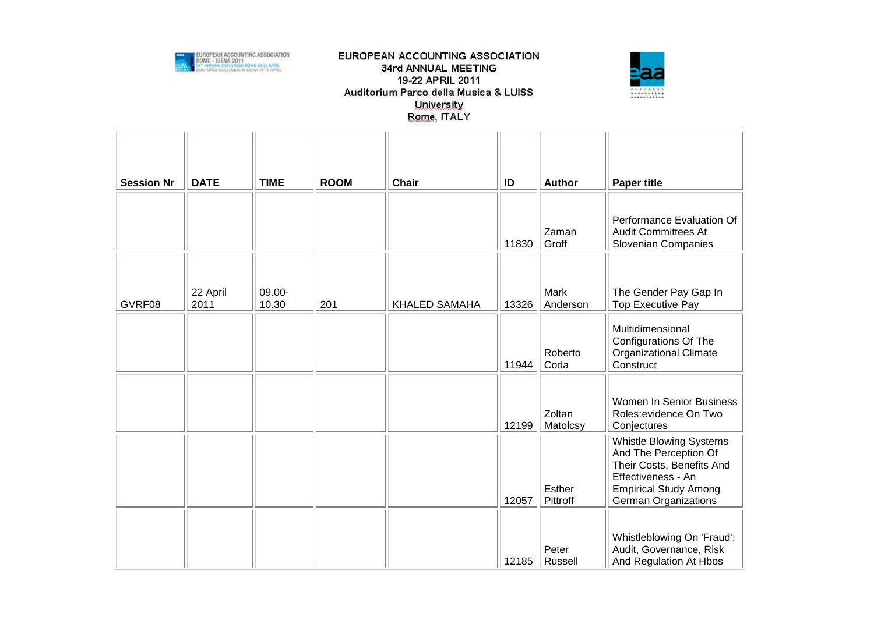



| <b>Session Nr</b> | <b>DATE</b>      | <b>TIME</b>     | <b>ROOM</b> | <b>Chair</b>         | ID    | <b>Author</b>           | <b>Paper title</b>                                                                                                                                                        |
|-------------------|------------------|-----------------|-------------|----------------------|-------|-------------------------|---------------------------------------------------------------------------------------------------------------------------------------------------------------------------|
|                   |                  |                 |             |                      | 11830 | Zaman<br>Groff          | Performance Evaluation Of<br><b>Audit Committees At</b><br><b>Slovenian Companies</b>                                                                                     |
| GVRF08            | 22 April<br>2011 | 09.00-<br>10.30 | 201         | <b>KHALED SAMAHA</b> | 13326 | <b>Mark</b><br>Anderson | The Gender Pay Gap In<br><b>Top Executive Pay</b>                                                                                                                         |
|                   |                  |                 |             |                      | 11944 | Roberto<br>Coda         | Multidimensional<br><b>Configurations Of The</b><br>Organizational Climate<br>Construct                                                                                   |
|                   |                  |                 |             |                      | 12199 | Zoltan<br>Matolcsy      | Women In Senior Business<br>Roles: evidence On Two<br>Conjectures                                                                                                         |
|                   |                  |                 |             |                      | 12057 | Esther<br>Pittroff      | <b>Whistle Blowing Systems</b><br>And The Perception Of<br>Their Costs, Benefits And<br>Effectiveness - An<br><b>Empirical Study Among</b><br><b>German Organizations</b> |
|                   |                  |                 |             |                      | 12185 | Peter<br>Russell        | Whistleblowing On 'Fraud':<br>Audit, Governance, Risk<br>And Regulation At Hbos                                                                                           |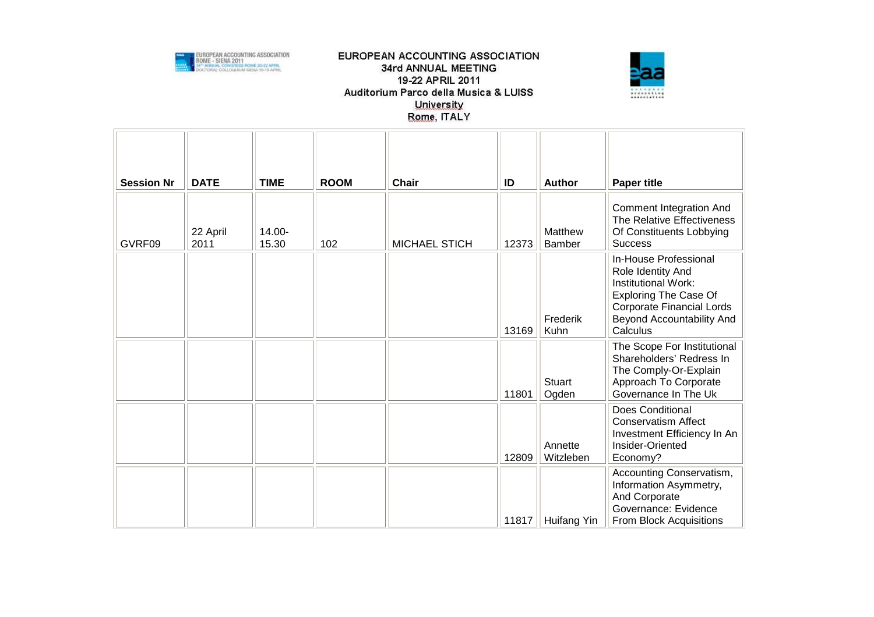



| <b>Session Nr</b> | <b>DATE</b>      | <b>TIME</b>     | <b>ROOM</b> | <b>Chair</b>         | ID    | <b>Author</b>          | <b>Paper title</b>                                                                                                                                                             |
|-------------------|------------------|-----------------|-------------|----------------------|-------|------------------------|--------------------------------------------------------------------------------------------------------------------------------------------------------------------------------|
| GVRF09            | 22 April<br>2011 | 14.00-<br>15.30 | 102         | <b>MICHAEL STICH</b> | 12373 | Matthew<br>Bamber      | <b>Comment Integration And</b><br>The Relative Effectiveness<br>Of Constituents Lobbying<br><b>Success</b>                                                                     |
|                   |                  |                 |             |                      | 13169 | Frederik<br>Kuhn       | In-House Professional<br>Role Identity And<br>Institutional Work:<br><b>Exploring The Case Of</b><br><b>Corporate Financial Lords</b><br>Beyond Accountability And<br>Calculus |
|                   |                  |                 |             |                      | 11801 | <b>Stuart</b><br>Ogden | The Scope For Institutional<br>Shareholders' Redress In<br>The Comply-Or-Explain<br>Approach To Corporate<br>Governance In The Uk                                              |
|                   |                  |                 |             |                      | 12809 | Annette<br>Witzleben   | Does Conditional<br><b>Conservatism Affect</b><br>Investment Efficiency In An<br>Insider-Oriented<br>Economy?                                                                  |
|                   |                  |                 |             |                      | 11817 | Huifang Yin            | Accounting Conservatism,<br>Information Asymmetry,<br>And Corporate<br>Governance: Evidence<br><b>From Block Acquisitions</b>                                                  |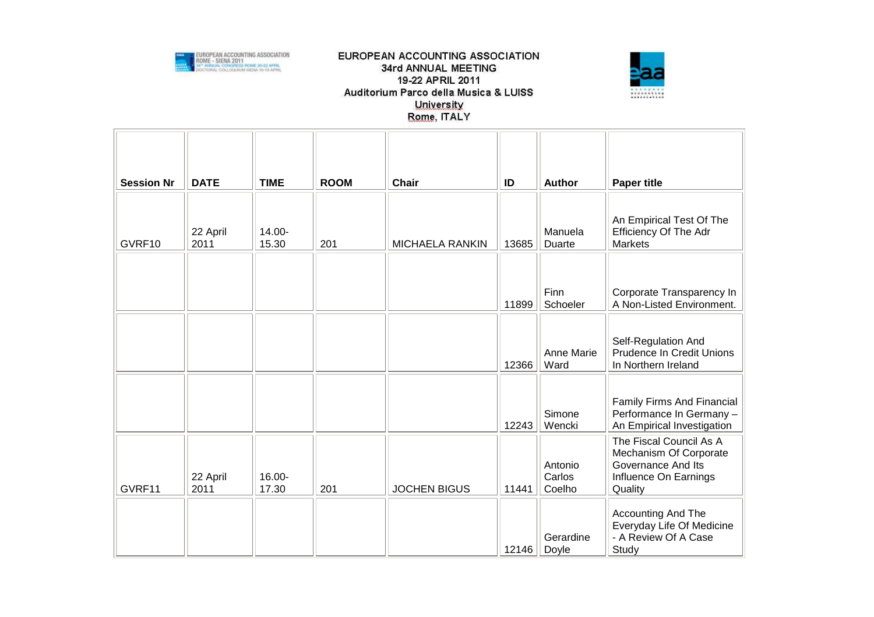



| <b>Session Nr</b> | <b>DATE</b>      | <b>TIME</b>     | <b>ROOM</b> | Chair                  | ID    | <b>Author</b>               | <b>Paper title</b>                                                                                          |
|-------------------|------------------|-----------------|-------------|------------------------|-------|-----------------------------|-------------------------------------------------------------------------------------------------------------|
| GVRF10            | 22 April<br>2011 | 14.00-<br>15.30 | 201         | <b>MICHAELA RANKIN</b> | 13685 | Manuela<br>Duarte           | An Empirical Test Of The<br><b>Efficiency Of The Adr</b><br><b>Markets</b>                                  |
|                   |                  |                 |             |                        | 11899 | Finn<br>Schoeler            | Corporate Transparency In<br>A Non-Listed Environment.                                                      |
|                   |                  |                 |             |                        | 12366 | Anne Marie<br>Ward          | Self-Regulation And<br><b>Prudence In Credit Unions</b><br>In Northern Ireland                              |
|                   |                  |                 |             |                        | 12243 | Simone<br>Wencki            | Family Firms And Financial<br>Performance In Germany-<br>An Empirical Investigation                         |
| GVRF11            | 22 April<br>2011 | 16.00-<br>17.30 | 201         | <b>JOCHEN BIGUS</b>    | 11441 | Antonio<br>Carlos<br>Coelho | The Fiscal Council As A<br>Mechanism Of Corporate<br>Governance And Its<br>Influence On Earnings<br>Quality |
|                   |                  |                 |             |                        | 12146 | Gerardine<br>Doyle          | Accounting And The<br>Everyday Life Of Medicine<br>- A Review Of A Case<br>Study                            |